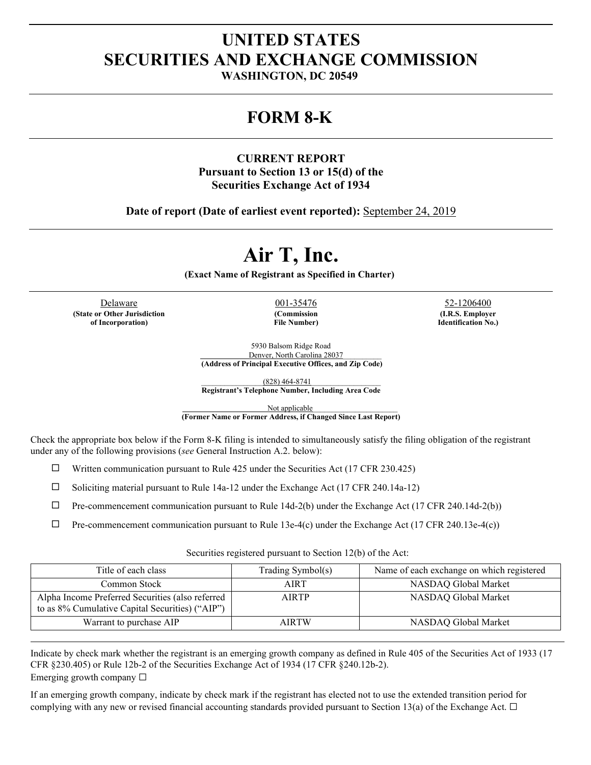# **UNITED STATES SECURITIES AND EXCHANGE COMMISSION**

**WASHINGTON, DC 20549**

# **FORM 8-K**

## **CURRENT REPORT Pursuant to Section 13 or 15(d) of the Securities Exchange Act of 1934**

**Date of report (Date of earliest event reported):** September 24, 2019

# **Air T, Inc.**

**(Exact Name of Registrant as Specified in Charter)**

Delaware 001-35476 52-1206400 **(State or Other Jurisdiction of Incorporation)**

**(Commission File Number)**

**(I.R.S. Employer Identification No.)**

5930 Balsom Ridge Road Denver, North Carolina 28037\_\_\_\_\_\_\_\_\_\_ **(Address of Principal Executive Offices, and Zip Code)**

\_\_\_\_\_\_\_\_\_\_\_\_\_\_\_\_(828) 464-8741\_\_\_\_\_\_\_\_\_\_\_\_\_\_\_\_\_\_

**Registrant's Telephone Number, Including Area Code**

Not applicable\_\_\_\_\_\_\_\_\_\_\_\_\_\_\_\_\_\_\_\_\_\_

**(Former Name or Former Address, if Changed Since Last Report)**

Check the appropriate box below if the Form 8-K filing is intended to simultaneously satisfy the filing obligation of the registrant under any of the following provisions (*see* General Instruction A.2. below):

 $\Box$  Written communication pursuant to Rule 425 under the Securities Act (17 CFR 230.425)

 $\Box$  Soliciting material pursuant to Rule 14a-12 under the Exchange Act (17 CFR 240.14a-12)

 $\Box$  Pre-commencement communication pursuant to Rule 14d-2(b) under the Exchange Act (17 CFR 240.14d-2(b))

 $\Box$  Pre-commencement communication pursuant to Rule 13e-4(c) under the Exchange Act (17 CFR 240.13e-4(c))

Securities registered pursuant to Section 12(b) of the Act:

| Title of each class                                                                                 | Trading Symbol(s) | Name of each exchange on which registered |
|-----------------------------------------------------------------------------------------------------|-------------------|-------------------------------------------|
| Common Stock                                                                                        | AIRT              | NASDAQ Global Market                      |
| Alpha Income Preferred Securities (also referred<br>to as 8% Cumulative Capital Securities) ("AIP") | <b>AIRTP</b>      | NASDAQ Global Market                      |
| Warrant to purchase AIP                                                                             | <b>AIRTW</b>      | NASDAQ Global Market                      |

Indicate by check mark whether the registrant is an emerging growth company as defined in Rule 405 of the Securities Act of 1933 (17 CFR §230.405) or Rule 12b-2 of the Securities Exchange Act of 1934 (17 CFR §240.12b-2). Emerging growth company  $\Box$ 

If an emerging growth company, indicate by check mark if the registrant has elected not to use the extended transition period for complying with any new or revised financial accounting standards provided pursuant to Section 13(a) of the Exchange Act.  $\Box$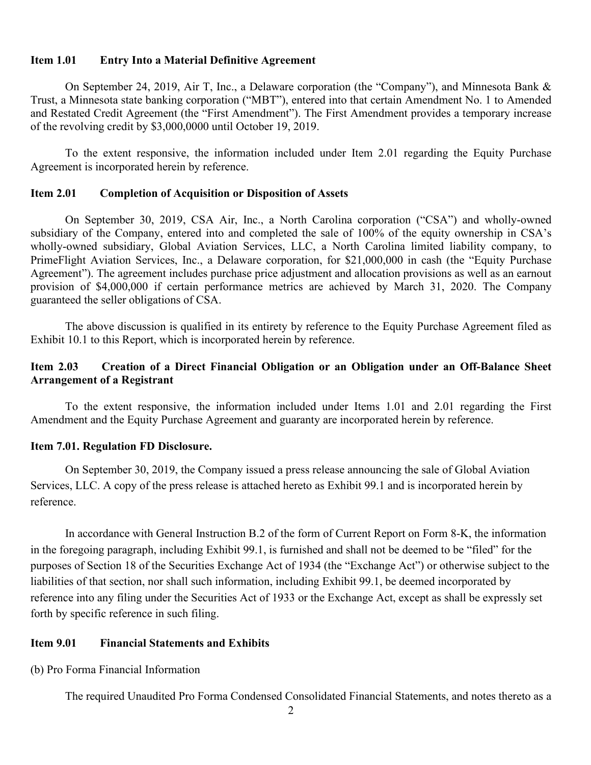#### **Item 1.01 Entry Into a Material Definitive Agreement**

On September 24, 2019, Air T, Inc., a Delaware corporation (the "Company"), and Minnesota Bank & Trust, a Minnesota state banking corporation ("MBT"), entered into that certain Amendment No. 1 to Amended and Restated Credit Agreement (the "First Amendment"). The First Amendment provides a temporary increase of the revolving credit by \$3,000,0000 until October 19, 2019.

To the extent responsive, the information included under Item 2.01 regarding the Equity Purchase Agreement is incorporated herein by reference.

#### **Item 2.01 Completion of Acquisition or Disposition of Assets**

On September 30, 2019, CSA Air, Inc., a North Carolina corporation ("CSA") and wholly-owned subsidiary of the Company, entered into and completed the sale of 100% of the equity ownership in CSA's wholly-owned subsidiary, Global Aviation Services, LLC, a North Carolina limited liability company, to PrimeFlight Aviation Services, Inc., a Delaware corporation, for \$21,000,000 in cash (the "Equity Purchase Agreement"). The agreement includes purchase price adjustment and allocation provisions as well as an earnout provision of \$4,000,000 if certain performance metrics are achieved by March 31, 2020. The Company guaranteed the seller obligations of CSA.

The above discussion is qualified in its entirety by reference to the Equity Purchase Agreement filed as Exhibit 10.1 to this Report, which is incorporated herein by reference.

### **Item 2.03 Creation of a Direct Financial Obligation or an Obligation under an Off-Balance Sheet Arrangement of a Registrant**

To the extent responsive, the information included under Items 1.01 and 2.01 regarding the First Amendment and the Equity Purchase Agreement and guaranty are incorporated herein by reference.

#### **Item 7.01. Regulation FD Disclosure.**

On September 30, 2019, the Company issued a press release announcing the sale of Global Aviation Services, LLC. A copy of the press release is attached hereto as Exhibit 99.1 and is incorporated herein by reference.

In accordance with General Instruction B.2 of the form of Current Report on Form 8-K, the information in the foregoing paragraph, including Exhibit 99.1, is furnished and shall not be deemed to be "filed" for the purposes of Section 18 of the Securities Exchange Act of 1934 (the "Exchange Act") or otherwise subject to the liabilities of that section, nor shall such information, including Exhibit 99.1, be deemed incorporated by reference into any filing under the Securities Act of 1933 or the Exchange Act, except as shall be expressly set forth by specific reference in such filing.

#### **Item 9.01 Financial Statements and Exhibits**

(b) Pro Forma Financial Information

The required Unaudited Pro Forma Condensed Consolidated Financial Statements, and notes thereto as a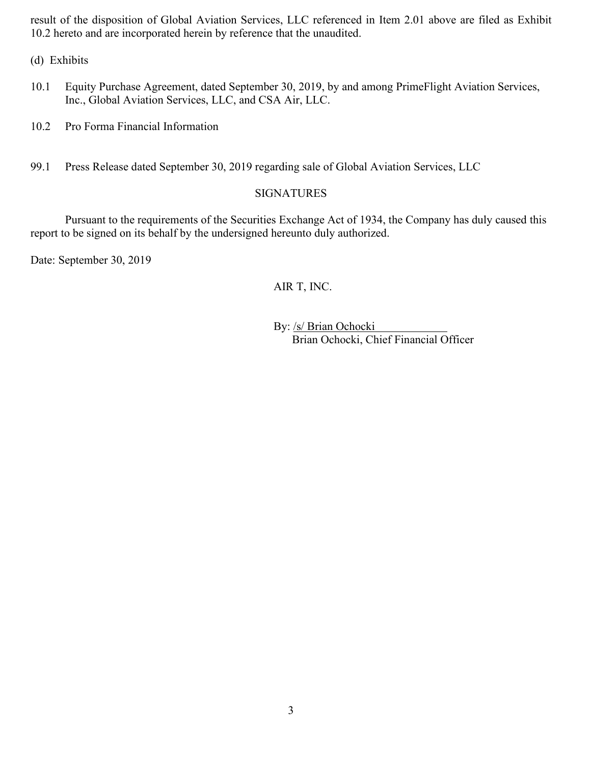result of the disposition of Global Aviation Services, LLC referenced in Item 2.01 above are filed as Exhibit 10.2 hereto and are incorporated herein by reference that the unaudited.

(d) Exhibits

- 10.1 Equity Purchase Agreement, dated September 30, 2019, by and among PrimeFlight Aviation Services, Inc., Global Aviation Services, LLC, and CSA Air, LLC.
- 10.2 Pro Forma Financial Information
- 99.1 Press Release dated September 30, 2019 regarding sale of Global Aviation Services, LLC

### SIGNATURES

Pursuant to the requirements of the Securities Exchange Act of 1934, the Company has duly caused this report to be signed on its behalf by the undersigned hereunto duly authorized.

Date: September 30, 2019

# AIR T, INC.

By: /s/ Brian Ochocki Brian Ochocki, Chief Financial Officer